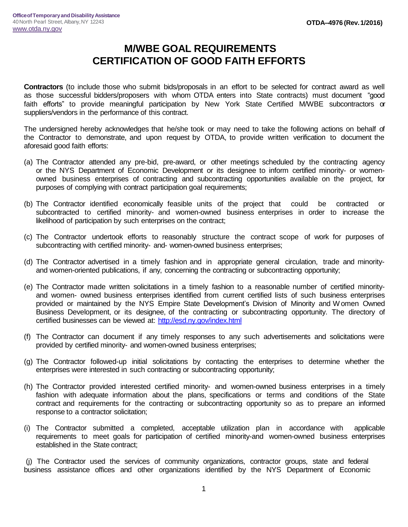## **M/WBE GOAL REQUIREMENTS CERTIFICATION OF GOOD FAITH EFFORTS**

**Contractors** (to include those who submit bids/proposals in an effort to be selected for contract award as well as those successful bidders/proposers with whom OTDA enters into State contracts) must document "good faith efforts" to provide meaningful participation by New York State Certified M/WBE subcontractors or suppliers/vendors in the performance of this contract.

The undersigned hereby acknowledges that he/she took or may need to take the following actions on behalf of the Contractor to demonstrate, and upon request by OTDA, to provide written verification to document the aforesaid good faith efforts:

- (a) The Contractor attended any pre-bid, pre-award, or other meetings scheduled by the contracting agency or the NYS Department of Economic Development or its designee to inform certified minority- or womenowned business enterprises of contracting and subcontracting opportunities available on the project, for purposes of complying with contract participation goal requirements;
- (b) The Contractor identified economically feasible units of the project that could be contracted or subcontracted to certified minority- and women-owned business enterprises in order to increase the likelihood of participation by such enterprises on the contract;
- (c) The Contractor undertook efforts to reasonably structure the contract scope of work for purposes of subcontracting with certified minority- and- women-owned business enterprises;
- (d) The Contractor advertised in a timely fashion and in appropriate general circulation, trade and minorityand women-oriented publications, if any, concerning the contracting or subcontracting opportunity;
- (e) The Contractor made written solicitations in a timely fashion to a reasonable number of certified minorityand women- owned business enterprises identified from current certified lists of such business enterprises provided or maintained by the NYS Empire State Development's Division of Minority and W omen Owned Business Development, or its designee, of the contracting or subcontracting opportunity. The directory of certified businesses can be viewed at:<http://esd.ny.gov/index.html>
- (f) The Contractor can document if any timely responses to any such advertisements and solicitations were provided by certified minority- and women-owned business enterprises;
- (g) The Contractor followed-up initial solicitations by contacting the enterprises to determine whether the enterprises were interested in such contracting or subcontracting opportunity;
- (h) The Contractor provided interested certified minority- and women-owned business enterprises in a timely fashion with adequate information about the plans, specifications or terms and conditions of the State contract and requirements for the contracting or subcontracting opportunity so as to prepare an informed response to a contractor solicitation;
- (i) The Contractor submitted a completed, acceptable utilization plan in accordance with applicable requirements to meet goals for participation of certified minority-and women-owned business enterprises established in the State contract;

(j) The Contractor used the services of community organizations, contractor groups, state and federal business assistance offices and other organizations identified by the NYS Department of Economic